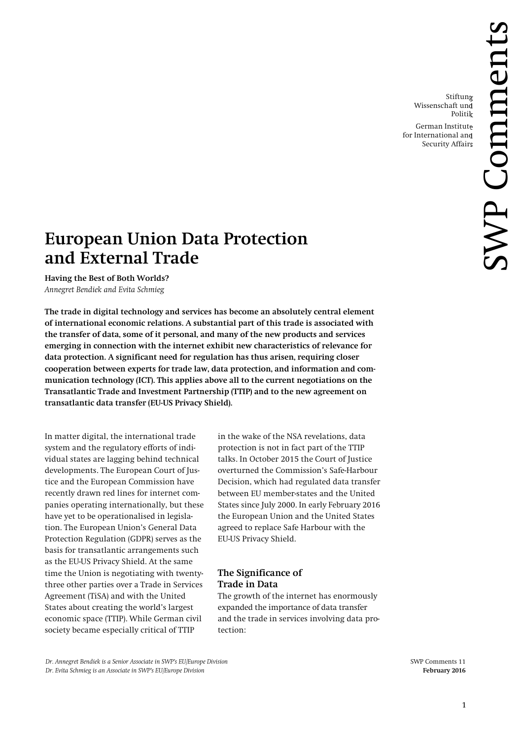Stiftung Wissenschaft und Politik

German Institute for International and Security Affairs

# **European Union Data Protection and External Trade**

**Having the Best of Both Worlds?**

*Annegret Bendiek and Evita Schmieg*

**The trade in digital technology and services has become an absolutely central element of international economic relations. A substantial part of this trade is associated with the transfer of data, some of it personal, and many of the new products and services emerging in connection with the internet exhibit new characteristics of relevance for data protection. A significant need for regulation has thus arisen, requiring closer cooperation between experts for trade law, data protection, and information and communication technology (ICT). This applies above all to the current negotiations on the Transatlantic Trade and Investment Partnership (TTIP) and to the new agreement on transatlantic data transfer (EU-US Privacy Shield).**

In matter digital, the international trade system and the regulatory efforts of individual states are lagging behind technical developments. The European Court of Justice and the European Commission have recently drawn red lines for internet companies operating internationally, but these have yet to be operationalised in legislation. The European Union's General Data Protection Regulation (GDPR) serves as the basis for transatlantic arrangements such as the EU-US Privacy Shield. At the same time the Union is negotiating with twentythree other parties over a Trade in Services Agreement (TiSA) and with the United States about creating the world's largest economic space (TTIP). While German civil society became especially critical of TTIP

in the wake of the NSA revelations, data protection is not in fact part of the TTIP talks. In October 2015 the Court of Justice overturned the Commission's Safe-Harbour Decision, which had regulated data transfer between EU member-states and the United States since July 2000. In early February 2016 the European Union and the United States agreed to replace Safe Harbour with the EU-US Privacy Shield.

# **The Significance of Trade in Data**

The growth of the internet has enormously expanded the importance of data transfer and the trade in services involving data protection:

*Dr. Annegret Bendiek is a Senior Associate in SWP's EU/Europe Division* SWP Comments 11 *Dr. Evita Schmieg is an Associate in SWP's EU/Europe Division* **February 2016**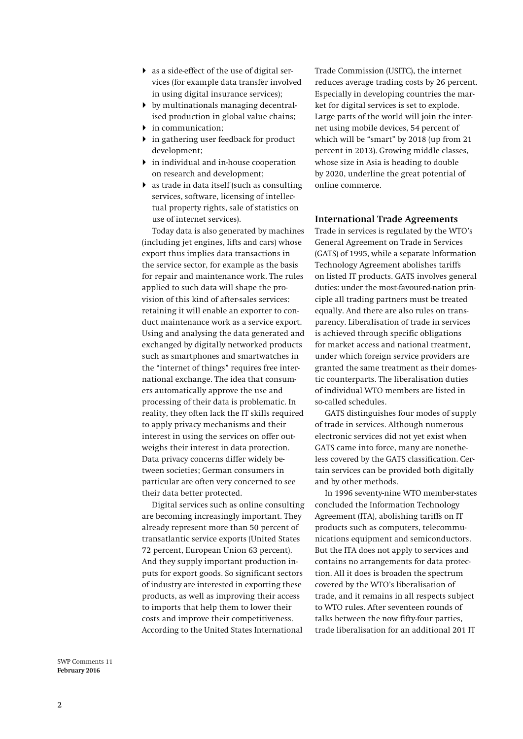- as a side-effect of the use of digital services (for example data transfer involved in using digital insurance services);
- by multinationals managing decentralised production in global value chains;
- $\blacktriangleright$  in communication;
- $\blacktriangleright$  in gathering user feedback for product development;
- $\blacktriangleright$  in individual and in-house cooperation on research and development;
- as trade in data itself (such as consulting services, software, licensing of intellectual property rights, sale of statistics on use of internet services).

Today data is also generated by machines (including jet engines, lifts and cars) whose export thus implies data transactions in the service sector, for example as the basis for repair and maintenance work. The rules applied to such data will shape the provision of this kind of after-sales services: retaining it will enable an exporter to conduct maintenance work as a service export. Using and analysing the data generated and exchanged by digitally networked products such as smartphones and smartwatches in the "internet of things" requires free international exchange. The idea that consumers automatically approve the use and processing of their data is problematic. In reality, they often lack the IT skills required to apply privacy mechanisms and their interest in using the services on offer outweighs their interest in data protection. Data privacy concerns differ widely between societies; German consumers in particular are often very concerned to see their data better protected.

Digital services such as online consulting are becoming increasingly important. They already represent more than 50 percent of transatlantic service exports (United States 72 percent, European Union 63 percent). And they supply important production inputs for export goods. So significant sectors of industry are interested in exporting these products, as well as improving their access to imports that help them to lower their costs and improve their competitiveness. According to the United States International

Trade Commission (USITC), the internet reduces average trading costs by 26 percent. Especially in developing countries the market for digital services is set to explode. Large parts of the world will join the internet using mobile devices, 54 percent of which will be "smart" by 2018 (up from 21 percent in 2013). Growing middle classes, whose size in Asia is heading to double by 2020, underline the great potential of online commerce.

#### **International Trade Agreements**

Trade in services is regulated by the WTO's General Agreement on Trade in Services (GATS) of 1995, while a separate Information Technology Agreement abolishes tariffs on listed IT products. GATS involves general duties: under the most-favoured-nation principle all trading partners must be treated equally. And there are also rules on transparency. Liberalisation of trade in services is achieved through specific obligations for market access and national treatment, under which foreign service providers are granted the same treatment as their domestic counterparts. The liberalisation duties of individual WTO members are listed in so-called schedules.

<span id="page-1-0"></span>GATS distinguishes four modes of supply of trade in services. Although numerous electronic services did not yet exist when GATS came into force, many are nonetheless covered by the GATS classification. Certain services can be provided both digitally and by other methods.

In 1996 seventy-nine WTO member-states concluded the Information Technology Agreement (ITA), abolishing tariffs on IT products such as computers, telecommunications equipment and semiconductors. But the ITA does not apply to services and contains no arrangements for data protection. All it does is broaden the spectrum covered by the WTO's liberalisation of trade, and it remains in all respects subject to WTO rules. After seventeen rounds of talks between the now fifty-four parties, trade liberalisation for an additional 201 IT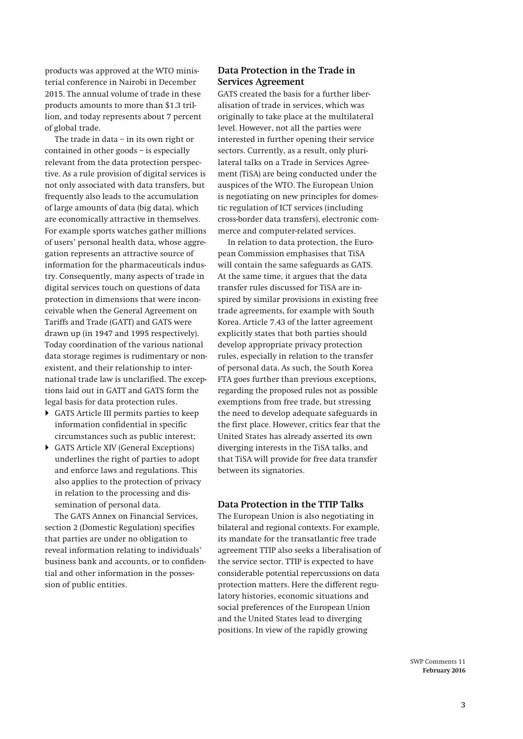products was approved at the WTO ministerial conference in Nairobi in December 2015. The annual volume of trade in these products amounts to more than \$1.3 trillion, and today represents about 7 percent of global trade.

The trade in data – in its own right or contained in other goods – is especially relevant from the data protection perspective. As a rule provision of digital services is not only associated with data transfers, but frequently also leads to the accumulation of large amounts of data (big data), which are economically attractive in themselves. For example sports watches gather millions of users' personal health data, whose aggregation represents an attractive source of information for the pharmaceuticals industry. Consequently, many aspects of trade in digital services touch on questions of data protection in dimensions that were inconceivable when the General Agreement on Tariffs and Trade (GATT) and GATS were drawn up (in 1947 and 1995 respectively). Today coordination of the various national data storage regimes is rudimentary or nonexistent, and their relationship to international trade law is unclarified. The exceptions laid out in GATT and GATS form the legal basis for data protection rules.

- GATS Article III permits parties to keep information confidential in specific circumstances such as public interest;
- GATS Article XIV (General Exceptions) underlines the right of parties to adopt and enforce laws and regulations. This also applies to the protection of privacy in relation to the processing and dissemination of personal data.

The GATS Annex on Financial Services, section 2 (Domestic Regulation) specifies that parties are under no obligation to reveal information relating to individuals' business bank and accounts, or to confidential and other information in the possession of public entities.

#### **Data Protection in the Trade in Services Agreement**

GATS created the basis for a further liberalisation of trade in services, which was originally to take place at the multilateral level. However, not all the parties were interested in further opening their service sectors. Currently, as a result, only plurilateral talks on a Trade in Services Agreement (TiSA) are being conducted under the auspices of the WTO. The European Union is negotiating on new principles for domestic regulation of ICT services (including cross-border data transfers), electronic commerce and computer-related services.

In relation to data protection, the European Commission emphasises that TiSA will contain the same safeguards as GATS. At the same time, it argues that the data transfer rules discussed for TiSA are inspired by similar provisions in existing free trade agreements, for example with South Korea. Article 7.43 of the latter agreement explicitly states that both parties should develop appropriate privacy protection rules, especially in relation to the transfer of personal data. As such, the South Korea FTA goes further than previous exceptions, regarding the proposed rules not as possible exemptions from free trade, but stressing the need to develop adequate safeguards in the first place. However, critics fear that the United States has already asserted its own diverging interests in the TiSA talks, and that TiSA will provide for free data transfer between its signatories.

#### **Data Protection in the TTIP Talks**

The European Union is also negotiating in bilateral and regional contexts. For example, its mandate for the transatlantic free trade agreement TTIP also seeks a liberalisation of the service sector. TTIP is expected to have considerable potential repercussions on data protection matters. Here the different regulatory histories, economic situations and social preferences of the European Union and the United States lead to diverging positions. In view of the rapidly growing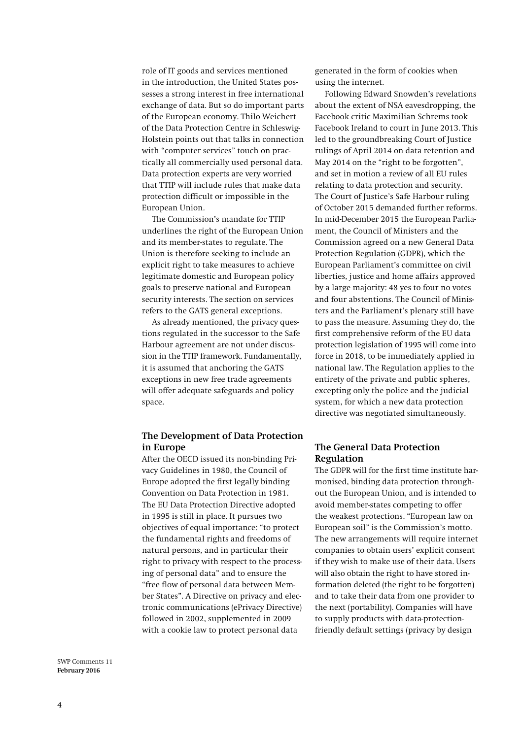role of IT goods and services mentioned in the introduction, the United States possesses a strong interest in free international exchange of data. But so do important parts of the European economy. Thilo Weichert of the Data Protection Centre in Schleswig-Holstein points out that talks in connection with "computer services" touch on practically all commercially used personal data. Data protection experts are very worried that TTIP will include rules that make data protection difficult or impossible in the European Union.

The Commission's mandate for TTIP underlines the right of the European Union and its member-states to regulate. The Union is therefore seeking to include an explicit right to take measures to achieve legitimate domestic and European policy goals to preserve national and European security interests. The section on services refers to the GATS general exceptions.

As already mentioned, the privacy questions regulated in the successor to the Safe Harbour agreement are not under discussion in the TTIP framework. Fundamentally, it is assumed that anchoring the GATS exceptions in new free trade agreements will offer adequate safeguards and policy space.

#### **The Development of Data Protection in Europe**

After the OECD issued its non-binding Privacy Guidelines in 1980, the Council of Europe adopted the first legally binding Convention on Data Protection in 1981. The EU Data Protection Directive adopted in 1995 is still in place. It pursues two objectives of equal importance: "to protect the fundamental rights and freedoms of natural persons, and in particular their right to privacy with respect to the processing of personal data" and to ensure the "free flow of personal data between Member States". A Directive on privacy and electronic communications (ePrivacy Directive) followed in 2002, supplemented in 2009 with a cookie law to protect personal data

generated in the form of cookies when using the internet.

Following Edward Snowden's revelations about the extent of NSA eavesdropping, the Facebook critic Maximilian Schrems took Facebook Ireland to court in June 2013. This led to the groundbreaking Court of Justice rulings of April 2014 on data retention and May 2014 on the "right to be forgotten", and set in motion a review of all EU rules relating to data protection and security. The Court of Justice's Safe Harbour ruling of October 2015 demanded further reforms. In mid-December 2015 the European Parliament, the Council of Ministers and the Commission agreed on a new General Data Protection Regulation (GDPR), which the European Parliament's committee on civil liberties, justice and home affairs approved by a large majority: 48 yes to four no votes and four abstentions. The Council of Ministers and the Parliament's plenary still have to pass the measure. Assuming they do, the first comprehensive reform of the EU data protection legislation of 1995 will come into force in 2018, to be immediately applied in national law. The Regulation applies to the entirety of the private and public spheres, excepting only the police and the judicial system, for which a new data protection directive was negotiated simultaneously.

## **The General Data Protection Regulation**

The GDPR will for the first time institute harmonised, binding data protection throughout the European Union, and is intended to avoid member-states competing to offer the weakest protections. "European law on European soil" is the Commission's motto. The new arrangements will require internet companies to obtain users' explicit consent if they wish to make use of their data. Users will also obtain the right to have stored information deleted (the right to be forgotten) and to take their data from one provider to the next (portability). Companies will have to supply products with data-protectionfriendly default settings (privacy by design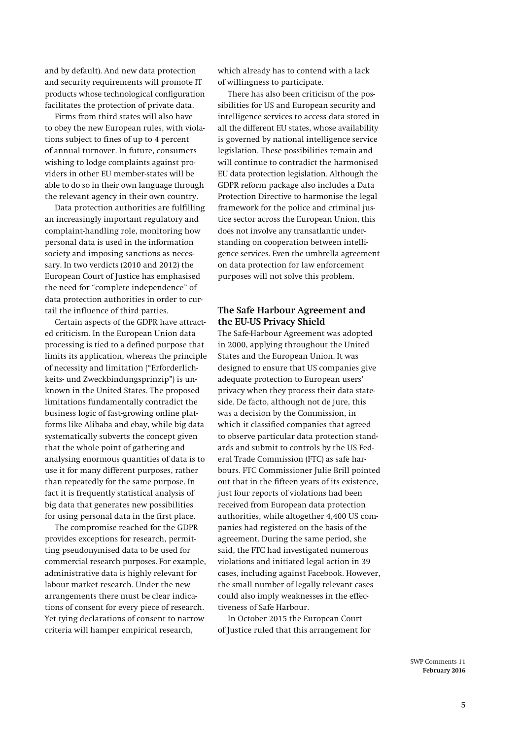and by default). And new data protection and security requirements will promote IT products whose technological configuration facilitates the protection of private data.

Firms from third states will also have to obey the new European rules, with violations subject to fines of up to 4 percent of annual turnover. In future, consumers wishing to lodge complaints against providers in other EU member-states will be able to do so in their own language through the relevant agency in their own country.

Data protection authorities are fulfilling an increasingly important regulatory and complaint-handling role, monitoring how personal data is used in the information society and imposing sanctions as necessary. In two verdicts (2010 and 2012) the European Court of Justice has emphasised the need for "complete independence" of data protection authorities in order to curtail the influence of third parties.

Certain aspects of the GDPR have attracted criticism. In the European Union data processing is tied to a defined purpose that limits its application, whereas the principle of necessity and limitation ("Erforderlichkeits- und Zweckbindungsprinzip") is unknown in the United States. The proposed limitations fundamentally contradict the business logic of fast-growing online platforms like Alibaba and ebay, while big data systematically subverts the concept given that the whole point of gathering and analysing enormous quantities of data is to use it for many different purposes, rather than repeatedly for the same purpose. In fact it is frequently statistical analysis of big data that generates new possibilities for using personal data in the first place.

The compromise reached for the GDPR provides exceptions for research, permitting pseudonymised data to be used for commercial research purposes. For example, administrative data is highly relevant for labour market research. Under the new arrangements there must be clear indications of consent for every piece of research. Yet tying declarations of consent to narrow criteria will hamper empirical research,

which already has to contend with a lack of willingness to participate.

There has also been criticism of the possibilities for US and European security and intelligence services to access data stored in all the different EU states, whose availability is governed by national intelligence service legislation. These possibilities remain and will continue to contradict the harmonised EU data protection legislation. Although the GDPR reform package also includes a Data Protection Directive to harmonise the legal framework for the police and criminal justice sector across the European Union, this does not involve any transatlantic understanding on cooperation between intelligence services. Even the umbrella agreement on data protection for law enforcement purposes will not solve this problem.

## **The Safe Harbour Agreement and the EU-US Privacy Shield**

The Safe-Harbour Agreement was adopted in 2000, applying throughout the United States and the European Union. It was designed to ensure that US companies give adequate protection to European users' privacy when they process their data stateside. De facto, although not de jure, this was a decision by the Commission, in which it classified companies that agreed to observe particular data protection standards and submit to controls by the US Federal Trade Commission (FTC) as safe harbours. FTC Commissioner Julie Brill pointed out that in the fifteen years of its existence, just four reports of violations had been received from European data protection authorities, while altogether 4,400 US companies had registered on the basis of the agreement. During the same period, she said, the FTC had investigated numerous violations and initiated legal action in 39 cases, including against Facebook. However, the small number of legally relevant cases could also imply weaknesses in the effectiveness of Safe Harbour.

In October 2015 the European Court of Justice ruled that this arrangement for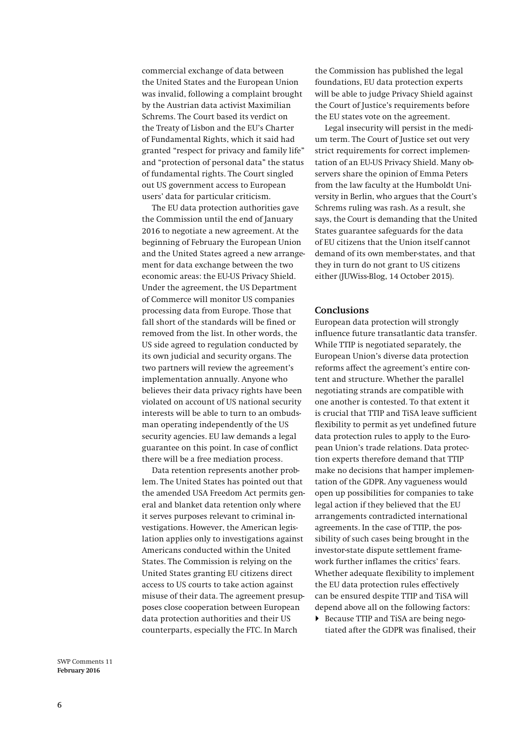commercial exchange of data between the United States and the European Union was invalid, following a complaint brought by the Austrian data activist Maximilian Schrems. The Court based its verdict on the Treaty of Lisbon and the EU's Charter of Fundamental Rights, which it said had granted "respect for privacy and family life" and "protection of personal data" the status of fundamental rights. The Court singled out US government access to European users' data for particular criticism.

The EU data protection authorities gave the Commission until the end of January 2016 to negotiate a new agreement. At the beginning of February the European Union and the United States agreed a new arrangement for data exchange between the two economic areas: the EU-US Privacy Shield. Under the agreement, the US Department of Commerce will monitor US companies processing data from Europe. Those that fall short of the standards will be fined or removed from the list. In other words, the US side agreed to regulation conducted by its own judicial and security organs. The two partners will review the agreement's implementation annually. Anyone who believes their data privacy rights have been violated on account of US national security interests will be able to turn to an ombudsman operating independently of the US security agencies. EU law demands a legal guarantee on this point. In case of conflict there will be a free mediation process.

Data retention represents another problem. The United States has pointed out that the amended USA Freedom Act permits general and blanket data retention only where it serves purposes relevant to criminal investigations. However, the American legislation applies only to investigations against Americans conducted within the United States. The Commission is relying on the United States granting EU citizens direct access to US courts to take action against misuse of their data. The agreement presupposes close cooperation between European data protection authorities and their US counterparts, especially the FTC. In March

the Commission has published the legal foundations, EU data protection experts will be able to judge Privacy Shield against the Court of Justice's requirements before the EU states vote on the agreement.

Legal insecurity will persist in the medium term. The Court of Justice set out very strict requirements for correct implementation of an EU-US Privacy Shield. Many observers share the opinion of Emma Peters from the law faculty at the Humboldt University in Berlin, who argues that the Court's Schrems ruling was rash. As a result, she says, the Court is demanding that the United States guarantee safeguards for the data of EU citizens that the Union itself cannot demand of its own member-states, and that they in turn do not grant to US citizens either (JUWiss-Blog, 14 October 2015).

#### **Conclusions**

European data protection will strongly influence future transatlantic data transfer. While TTIP is negotiated separately, the European Union's diverse data protection reforms affect the agreement's entire content and structure. Whether the parallel negotiating strands are compatible with one another is contested. To that extent it is crucial that TTIP and TiSA leave sufficient flexibility to permit as yet undefined future data protection rules to apply to the European Union's trade relations. Data protection experts therefore demand that TTIP make no decisions that hamper implementation of the GDPR. Any vagueness would open up possibilities for companies to take legal action if they believed that the EU arrangements contradicted international agreements. In the case of TTIP, the possibility of such cases being brought in the investor-state dispute settlement framework further inflames the critics' fears. Whether adequate flexibility to implement the EU data protection rules effectively can be ensured despite TTIP and TiSA will depend above all on the following factors:

 Because TTIP and TiSA are being negotiated after the GDPR was finalised, their